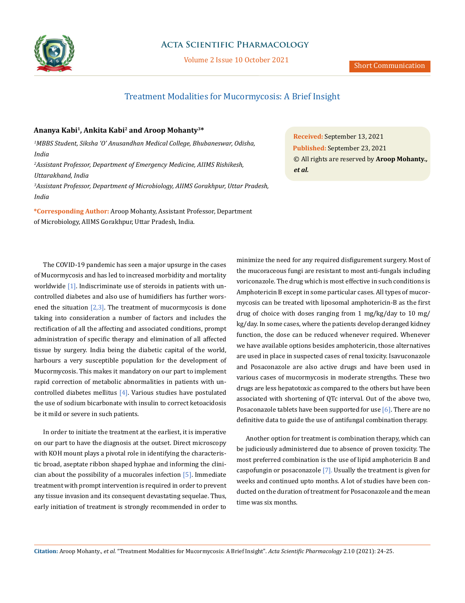

### **Acta Scientific Pharmacology**

Volume 2 Issue 10 October 2021

## Treatment Modalities for Mucormycosis: A Brief Insight

### **Ananya Kabi1, Ankita Kabi2 and Aroop Mohanty3\***

*1 MBBS Student, Siksha 'O' Anusandhan Medical College, Bhubaneswar, Odisha, India*

*2 Assistant Professor, Department of Emergency Medicine, AIIMS Rishikesh, Uttarakhand, India*

*3 Assistant Professor, Department of Microbiology, AIIMS Gorakhpur, Uttar Pradesh, India*

**\*Corresponding Author:** Aroop Mohanty, Assistant Professor, Department of Microbiology, AIIMS Gorakhpur, Uttar Pradesh, India.

**Received:** September 13, 2021 **Published:** September 23, 2021 © All rights are reserved by **Aroop Mohanty***., et al.*

The COVID-19 pandemic has seen a major upsurge in the cases of Mucormycosis and has led to increased morbidity and mortality worldwide [1]. Indiscriminate use of steroids in patients with uncontrolled diabetes and also use of humidifiers has further worsened the situation  $[2,3]$ . The treatment of mucormycosis is done taking into consideration a number of factors and includes the rectification of all the affecting and associated conditions, prompt administration of specific therapy and elimination of all affected tissue by surgery. India being the diabetic capital of the world, harbours a very susceptible population for the development of Mucormycosis. This makes it mandatory on our part to implement rapid correction of metabolic abnormalities in patients with uncontrolled diabetes mellitus  $[4]$ . Various studies have postulated the use of sodium bicarbonate with insulin to correct ketoacidosis be it mild or severe in such patients.

In order to initiate the treatment at the earliest, it is imperative on our part to have the diagnosis at the outset. Direct microscopy with KOH mount plays a pivotal role in identifying the characteristic broad, aseptate ribbon shaped hyphae and informing the clinician about the possibility of a mucorales infection  $[5]$ . Immediate treatment with prompt intervention is required in order to prevent any tissue invasion and its consequent devastating sequelae. Thus, early initiation of treatment is strongly recommended in order to

minimize the need for any required disfigurement surgery. Most of the mucoraceous fungi are resistant to most anti-fungals including voriconazole. The drug which is most effective in such conditions is Amphotericin B except in some particular cases. All types of mucormycosis can be treated with liposomal amphotericin-B as the first drug of choice with doses ranging from 1 mg/kg/day to 10 mg/ kg/day. In some cases, where the patients develop deranged kidney function, the dose can be reduced whenever required. Whenever we have available options besides amphotericin, those alternatives are used in place in suspected cases of renal toxicity. Isavuconazole and Posaconazole are also active drugs and have been used in various cases of mucormycosis in moderate strengths. These two drugs are less hepatotoxic as compared to the others but have been associated with shortening of QTc interval. Out of the above two, Posaconazole tablets have been supported for use [6]. There are no definitive data to guide the use of antifungal combination therapy.

Another option for treatment is combination therapy, which can be judiciously administered due to absence of proven toxicity. The most preferred combination is the use of lipid amphotericin B and caspofungin or posaconazole [7]. Usually the treatment is given for weeks and continued upto months. A lot of studies have been conducted on the duration of treatment for Posaconazole and the mean time was six months.

**Citation:** Aroop Mohanty*., et al.* "Treatment Modalities for Mucormycosis: A Brief Insight". *Acta Scientific Pharmacology* 2.10 (2021): 24-25.